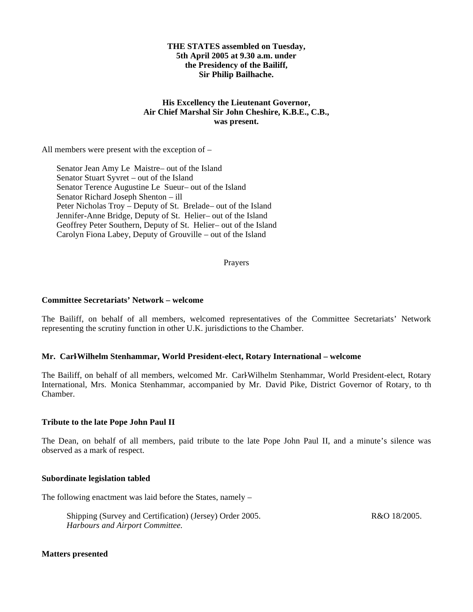## **THE STATES assembled on Tuesday, 5th April 2005 at 9.30 a.m. under the Presidency of the Bailiff, Sir Philip Bailhache.**

## **His Excellency the Lieutenant Governor, Air Chief Marshal Sir John Cheshire, K.B.E., C.B., was present.**

All members were present with the exception of –

Senator Jean Amy Le Maistre– out of the Island Senator Stuart Syvret – out of the Island Senator Terence Augustine Le Sueur- out of the Island Senator Richard Joseph Shenton – ill Peter Nicholas Troy – Deputy of St. Brelade– out of the Island Jennifer-Anne Bridge, Deputy of St. Helier- out of the Island Geoffrey Peter Southern, Deputy of St. Helier- out of the Island Carolyn Fiona Labey, Deputy of Grouville – out of the Island

Prayers

#### **Committee Secretariats' Network – welcome**

The Bailiff, on behalf of all members, welcomed representatives of the Committee Secretariats' Network representing the scrutiny function in other U.K. jurisdictions to the Chamber.

## **Mr. Carl-Wilhelm Stenhammar, World President-elect, Rotary International – welcome**

The Bailiff, on behalf of all members, welcomed Mr. Carl-Wilhelm Stenhammar, World President-elect, Rotary International, Mrs. Monica Stenhammar, accompanied by Mr. David Pike, District Governor of Rotary, to the Chamber.

## **Tribute to the late Pope John Paul II**

The Dean, on behalf of all members, paid tribute to the late Pope John Paul II, and a minute's silence was observed as a mark of respect.

#### **Subordinate legislation tabled**

The following enactment was laid before the States, namely –

Shipping (Survey and Certification) (Jersey) Order 2005. *Harbours and Airport Committee.*

R&O 18/2005.

#### **Matters presented**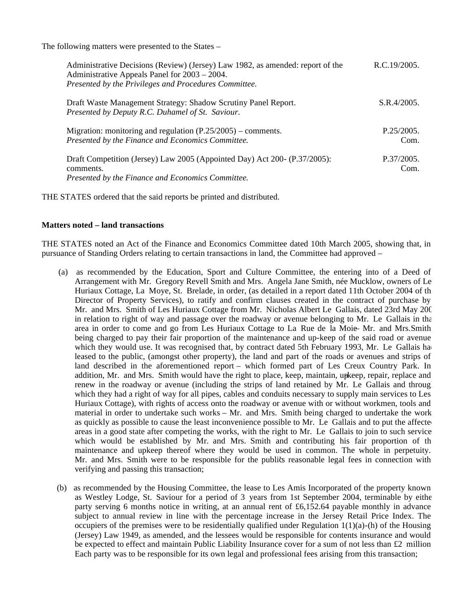The following matters were presented to the States –

| Administrative Decisions (Review) (Jersey) Law 1982, as amended: report of the<br>Administrative Appeals Panel for 2003 – 2004.<br>Presented by the Privileges and Procedures Committee. | R.C.19/2005.       |
|------------------------------------------------------------------------------------------------------------------------------------------------------------------------------------------|--------------------|
| Draft Waste Management Strategy: Shadow Scrutiny Panel Report.<br>Presented by Deputy R.C. Duhamel of St. Saviour.                                                                       | S.R.4/2005.        |
| Migration: monitoring and regulation $(P.25/2005)$ – comments.<br>Presented by the Finance and Economics Committee.                                                                      | P.25/2005.<br>Com. |
| Draft Competition (Jersey) Law 2005 (Appointed Day) Act 200- (P.37/2005):<br>comments.<br>Presented by the Finance and Economics Committee.                                              | P.37/2005.<br>Com. |

THE STATES ordered that the said reports be printed and distributed.

## **Matters noted – land transactions**

THE STATES noted an Act of the Finance and Economics Committee dated 10th March 2005, showing that, in pursuance of Standing Orders relating to certain transactions in land, the Committee had approved –

- (a) as recommended by the Education, Sport and Culture Committee, the entering into of a Deed of Arrangement with Mr. Gregory Revell Smith and Mrs. Angela Jane Smith, née Mucklow, owners of Les Huriaux Cottage, La Moye, St. Brelade, in order, (as detailed in a report dated 11th October 2004 of the Director of Property Services), to ratify and confirm clauses created in the contract of purchase by Mr. and Mrs. Smith of Les Huriaux Cottage from Mr. Nicholas Albert Le Gallais, dated 23rd May 2003 in relation to right of way and passage over the roadway or avenue belonging to Mr. Le Gallais in that area in order to come and go from Les Huriaux Cottage to La Rue de la Moie – Mr. and Mrs. Smith being charged to pay their fair proportion of the maintenance and up-keep of the said road or avenue which they would use. It was recognised that, by contract dated 5th February 1993, Mr. Le Gallais ha leased to the public, (amongst other property), the land and part of the roads or avenues and strips of land described in the aforementioned report – which formed part of Les Creux Country Park. In addition, Mr. and Mrs. Smith would have the right to place, keep, maintain, upkeep, repair, replace and renew in the roadway or avenue (including the strips of land retained by Mr. Le Gallais and through which they had a right of way for all pipes, cables and conduits necessary to supply main services to Les Huriaux Cottage), with rights of access onto the roadway or avenue with or without workmen, tools and material in order to undertake such works  $-$  Mr. and Mrs. Smith being charged to undertake the work as quickly as possible to cause the least inconvenience possible to Mr. Le Gallais and to put the affecte areas in a good state after competing the works, with the right to Mr. Le Gallais to join to such service which would be established by Mr. and Mrs. Smith and contributing his fair proportion of the maintenance and upkeep thereof where they would be used in common. The whole in perpetuity. Mr. and Mrs. Smith were to be responsible for the publics reasonable legal fees in connection with verifying and passing this transaction;
- (b) as recommended by the Housing Committee, the lease to Les Amis Incorporated of the property known as Westley Lodge, St. Saviour for a period of 3 years from 1st September 2004, terminable by either party serving 6 months notice in writing, at an annual rent of £6,152.64 payable monthly in advance subject to annual review in line with the percentage increase in the Jersey Retail Price Index. The occupiers of the premises were to be residentially qualified under Regulation  $1(1)(a)$ -(h) of the Housing (Jersey) Law 1949, as amended, and the lessees would be responsible for contents insurance and would be expected to effect and maintain Public Liability Insurance cover for a sum of not less than £2 million. Each party was to be responsible for its own legal and professional fees arising from this transaction;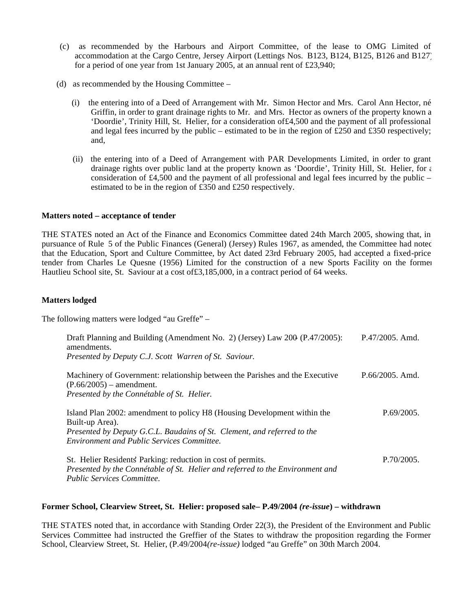- (c) as recommended by the Harbours and Airport Committee, of the lease to OMG Limited of accommodation at the Cargo Centre, Jersey Airport (Lettings Nos. B123, B124, B125, B126 and B127) for a period of one year from 1st January 2005, at an annual rent of £23,940;
- (d) as recommended by the Housing Committee
	- (i) the entering into of a Deed of Arrangement with Mr. Simon Hector and Mrs. Carol Ann Hector, né Griffin, in order to grant drainage rights to Mr. and Mrs. Hector as owners of the property known a 'Doordie', Trinity Hill, St. Helier, for a consideration of£4,500 and the payment of all professional and legal fees incurred by the public – estimated to be in the region of £250 and £350 respectively; and,
	- (ii) the entering into of a Deed of Arrangement with PAR Developments Limited, in order to grant drainage rights over public land at the property known as 'Doordie', Trinity Hill, St. Helier, for a consideration of £4,500 and the payment of all professional and legal fees incurred by the public – estimated to be in the region of £350 and £250 respectively.

## **Matters noted – acceptance of tender**

THE STATES noted an Act of the Finance and Economics Committee dated 24th March 2005, showing that, in pursuance of Rule 5 of the Public Finances (General) (Jersey) Rules 1967, as amended, the Committee had noted that the Education, Sport and Culture Committee, by Act dated 23rd February 2005, had accepted a fixed-price tender from Charles Le Quesne (1956) Limited for the construction of a new Sports Facility on the former Hautlieu School site, St. Saviour at a cost of£3,185,000, in a contract period of 64 weeks.

#### **Matters lodged**

The following matters were lodged "au Greffe" –

| Draft Planning and Building (Amendment No. 2) (Jersey) Law 200 (P.47/2005):<br>amendments.                                                   | $P.47/2005$ . Amd. |
|----------------------------------------------------------------------------------------------------------------------------------------------|--------------------|
| Presented by Deputy C.J. Scott Warren of St. Saviour.                                                                                        |                    |
| Machinery of Government: relationship between the Parishes and the Executive<br>$(P.66/2005)$ – amendment.                                   | $P.66/2005$ . Amd. |
| Presented by the Connétable of St. Helier.                                                                                                   |                    |
| Island Plan 2002: amendment to policy H8 (Housing Development within the<br>Built-up Area).                                                  | P.69/2005.         |
| Presented by Deputy G.C.L. Baudains of St. Clement, and referred to the<br><b>Environment and Public Services Committee.</b>                 |                    |
| St. Helier Residents Parking: reduction in cost of permits.<br>Presented by the Connétable of St. Helier and referred to the Environment and | P.70/2005.         |
| <i>Public Services Committee.</i>                                                                                                            |                    |

## **Former School, Clearview Street, St. Helier: proposed sale – P.49/2004** *(re-issue***) – withdrawn**

THE STATES noted that, in accordance with Standing Order 22(3), the President of the Environment and Public Services Committee had instructed the Greffier of the States to withdraw the proposition regarding the Former School, Clearview Street, St. Helier, (P.49/2004*(re-issue)* lodged "au Greffe" on 30th March 2004.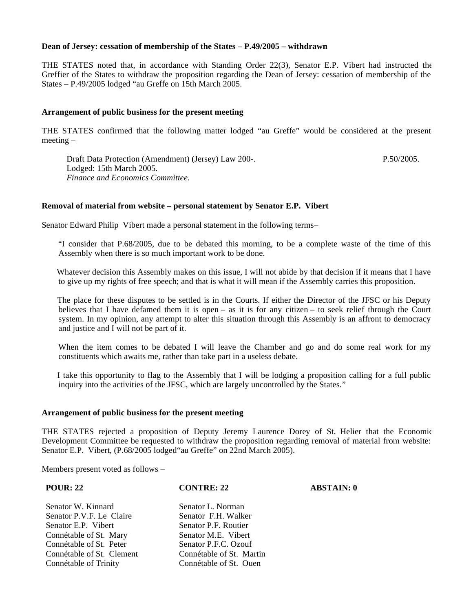## **Dean of Jersey: cessation of membership of the States – P.49/2005 – withdrawn**

THE STATES noted that, in accordance with Standing Order 22(3), Senator E.P. Vibert had instructed the Greffier of the States to withdraw the proposition regarding the Dean of Jersey: cessation of membership of the States – P.49/2005 lodged "au Greffe on 15th March 2005.

## **Arrangement of public business for the present meeting**

THE STATES confirmed that the following matter lodged "au Greffe" would be considered at the present meeting –

Draft Data Protection (Amendment) (Jersey) Law 200-. Lodged: 15th March 2005. *Finance and Economics Committee.* P.50/2005.

## **Removal of material from website – personal statement by Senator E.P. Vibert**

Senator Edward Philip Vibert made a personal statement in the following terms –

"I consider that P.68/2005, due to be debated this morning, to be a complete waste of the time of this Assembly when there is so much important work to be done.

 Whatever decision this Assembly makes on this issue, I will not abide by that decision if it means that I have to give up my rights of free speech; and that is what it will mean if the Assembly carries this proposition.

 The place for these disputes to be settled is in the Courts. If either the Director of the JFSC or his Deputy believes that I have defamed them it is open – as it is for any citizen – to seek relief through the Court system. In my opinion, any attempt to alter this situation through this Assembly is an affront to democracy and justice and I will not be part of it.

When the item comes to be debated I will leave the Chamber and go and do some real work for my constituents which awaits me, rather than take part in a useless debate.

 I take this opportunity to flag to the Assembly that I will be lodging a proposition calling for a full public inquiry into the activities of the JFSC, which are largely uncontrolled by the States."

## **Arrangement of public business for the present meeting**

THE STATES rejected a proposition of Deputy Jeremy Laurence Dorey of St. Helier that the Economic Development Committee be requested to withdraw the proposition regarding removal of material from website: Senator E.P. Vibert, (P.68/2005 lodged"au Greffe" on 22nd March 2005).

Members present voted as follows –

## Senator W. Kinnard Senator L. Norman Senator P.V.F. Le Claire Senator F.H. Walker Senator E.P. Vibert Senator P.F. Routier Connétable of St. Mary<br>
Connétable of St. Peter<br>
Senator P.F.C. Ozouf Connétable of St. Peter Senator P.F.C. Ozouf<br>
Connétable of St. Clement Connétable of St. Martin Connétable of St. Clement<br>
Connétable of Connétable of Connétable of Connétable of Connétable of St. Quen Connétable of Trinity

#### **POUR: 22 CONTRE: 22 ABSTAIN: 0**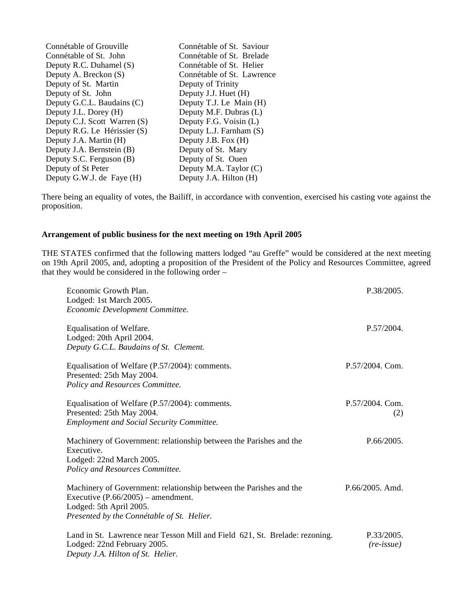| Connétable of Grouville      | Connétable of St. Saviour  |
|------------------------------|----------------------------|
| Connétable of St. John       | Connétable of St. Brelade  |
| Deputy R.C. Duhamel (S)      | Connétable of St. Helier   |
| Deputy A. Breckon (S)        | Connétable of St. Lawrence |
| Deputy of St. Martin         | Deputy of Trinity          |
| Deputy of St. John           | Deputy J.J. Huet (H)       |
| Deputy G.C.L. Baudains (C)   | Deputy T.J. Le Main (H)    |
| Deputy J.L. Dorey (H)        | Deputy M.F. Dubras (L)     |
| Deputy C.J. Scott Warren (S) | Deputy F.G. Voisin (L)     |
| Deputy R.G. Le Hérissier (S) | Deputy L.J. Farnham (S)    |
| Deputy J.A. Martin (H)       | Deputy J.B. Fox (H)        |
| Deputy J.A. Bernstein (B)    | Deputy of St. Mary         |
| Deputy S.C. Ferguson (B)     | Deputy of St. Ouen         |
| Deputy of St Peter           | Deputy M.A. Taylor (C)     |
| Deputy G.W.J. de Faye (H)    | Deputy J.A. Hilton (H)     |

There being an equality of votes, the Bailiff, in accordance with convention, exercised his casting vote against the proposition.

## **Arrangement of public business for the next meeting on 19th April 2005**

THE STATES confirmed that the following matters lodged "au Greffe" would be considered at the next meeting on 19th April 2005, and, adopting a proposition of the President of the Policy and Resources Committee, agreed that they would be considered in the following order –

| Economic Growth Plan.<br>Lodged: 1st March 2005.<br>Economic Development Committee.                                                                                                 | P.38/2005.                        |
|-------------------------------------------------------------------------------------------------------------------------------------------------------------------------------------|-----------------------------------|
| Equalisation of Welfare.<br>Lodged: 20th April 2004.<br>Deputy G.C.L. Baudains of St. Clement.                                                                                      | P.57/2004.                        |
| Equalisation of Welfare (P.57/2004): comments.<br>Presented: 25th May 2004.<br>Policy and Resources Committee.                                                                      | $P.57/2004$ , Com.                |
| Equalisation of Welfare (P.57/2004): comments.<br>Presented: 25th May 2004.<br><b>Employment and Social Security Committee.</b>                                                     | P.57/2004. Com.<br>(2)            |
| Machinery of Government: relationship between the Parishes and the<br>Executive.<br>Lodged: 22nd March 2005.<br>Policy and Resources Committee.                                     | P.66/2005.                        |
| Machinery of Government: relationship between the Parishes and the<br>Executive $(P.66/2005)$ – amendment.<br>Lodged: 5th April 2005.<br>Presented by the Connétable of St. Helier. | $P.66/2005$ . Amd.                |
| Land in St. Lawrence near Tesson Mill and Field 621, St. Brelade: rezoning.<br>Lodged: 22nd February 2005.                                                                          | P.33/2005.<br>$(re\text{-}issue)$ |

*Deputy J.A. Hilton of St. Helier.*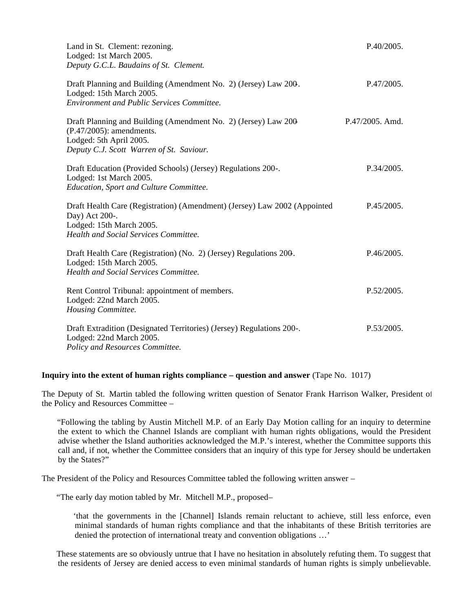| Land in St. Clement: rezoning.<br>Lodged: 1st March 2005.<br>Deputy G.C.L. Baudains of St. Clement.                                                                  | P.40/2005.         |
|----------------------------------------------------------------------------------------------------------------------------------------------------------------------|--------------------|
| Draft Planning and Building (Amendment No. 2) (Jersey) Law 200.<br>Lodged: 15th March 2005.<br><b>Environment and Public Services Committee.</b>                     | P.47/2005.         |
| Draft Planning and Building (Amendment No. 2) (Jersey) Law 200<br>$(P.47/2005)$ : amendments.<br>Lodged: 5th April 2005.<br>Deputy C.J. Scott Warren of St. Saviour. | $P.47/2005$ . Amd. |
| Draft Education (Provided Schools) (Jersey) Regulations 200-.<br>Lodged: 1st March 2005.<br>Education, Sport and Culture Committee.                                  | P.34/2005.         |
| Draft Health Care (Registration) (Amendment) (Jersey) Law 2002 (Appointed<br>Day) Act 200-.<br>Lodged: 15th March 2005.<br>Health and Social Services Committee.     | P.45/2005.         |
| Draft Health Care (Registration) (No. 2) (Jersey) Regulations 200.<br>Lodged: 15th March 2005.<br>Health and Social Services Committee.                              | P.46/2005.         |
| Rent Control Tribunal: appointment of members.<br>Lodged: 22nd March 2005.<br>Housing Committee.                                                                     | P.52/2005.         |
| Draft Extradition (Designated Territories) (Jersey) Regulations 200-.<br>Lodged: 22nd March 2005.<br>Policy and Resources Committee.                                 | P.53/2005.         |

## **Inquiry into the extent of human rights compliance – question and answer** (Tape No. 1017)

The Deputy of St. Martin tabled the following written question of Senator Frank Harrison Walker, President of the Policy and Resources Committee –

 "Following the tabling by Austin Mitchell M.P. of an Early Day Motion calling for an inquiry to determine the extent to which the Channel Islands are compliant with human rights obligations, would the President advise whether the Island authorities acknowledged the M.P.'s interest, whether the Committee supports this call and, if not, whether the Committee considers that an inquiry of this type for Jersey should be undertaken by the States?"

The President of the Policy and Resources Committee tabled the following written answer –

"The early day motion tabled by Mr. Mitchell M.P., proposed –

 'that the governments in the [Channel] Islands remain reluctant to achieve, still less enforce, even minimal standards of human rights compliance and that the inhabitants of these British territories are denied the protection of international treaty and convention obligations …'

 These statements are so obviously untrue that I have no hesitation in absolutely refuting them. To suggest that the residents of Jersey are denied access to even minimal standards of human rights is simply unbelievable.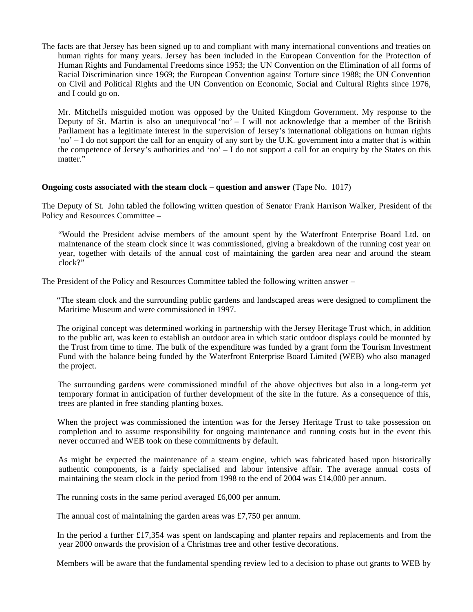The facts are that Jersey has been signed up to and compliant with many international conventions and treaties on human rights for many years. Jersey has been included in the European Convention for the Protection of Human Rights and Fundamental Freedoms since 1953; the UN Convention on the Elimination of all forms of Racial Discrimination since 1969; the European Convention against Torture since 1988; the UN Convention on Civil and Political Rights and the UN Convention on Economic, Social and Cultural Rights since 1976, and I could go on.

 Mr. Mitchell's misguided motion was opposed by the United Kingdom Government. My response to the Deputy of St. Martin is also an unequivocal 'no' – I will not acknowledge that a member of the British Parliament has a legitimate interest in the supervision of Jersey's international obligations on human rights 'no' – I do not support the call for an enquiry of any sort by the U.K. government into a matter that is within the competence of Jersey's authorities and 'no'  $-1$  do not support a call for an enquiry by the States on this matter."

## **Ongoing costs associated with the steam clock – question and answer** (Tape No. 1017)

The Deputy of St. John tabled the following written question of Senator Frank Harrison Walker, President of the Policy and Resources Committee –

 "Would the President advise members of the amount spent by the Waterfront Enterprise Board Ltd. on maintenance of the steam clock since it was commissioned, giving a breakdown of the running cost year on year, together with details of the annual cost of maintaining the garden area near and around the steam clock?"

The President of the Policy and Resources Committee tabled the following written answer –

 "The steam clock and the surrounding public gardens and landscaped areas were designed to compliment the Maritime Museum and were commissioned in 1997.

 The original concept was determined working in partnership with the Jersey Heritage Trust which, in addition to the public art, was keen to establish an outdoor area in which static outdoor displays could be mounted by the Trust from time to time. The bulk of the expenditure was funded by a grant form the Tourism Investment Fund with the balance being funded by the Waterfront Enterprise Board Limited (WEB) who also managed the project.

 The surrounding gardens were commissioned mindful of the above objectives but also in a long-term yet temporary format in anticipation of further development of the site in the future. As a consequence of this, trees are planted in free standing planting boxes.

When the project was commissioned the intention was for the Jersey Heritage Trust to take possession on completion and to assume responsibility for ongoing maintenance and running costs but in the event this never occurred and WEB took on these commitments by default.

 As might be expected the maintenance of a steam engine, which was fabricated based upon historically authentic components, is a fairly specialised and labour intensive affair. The average annual costs of maintaining the steam clock in the period from 1998 to the end of 2004 was £14,000 per annum.

The running costs in the same period averaged £6,000 per annum.

The annual cost of maintaining the garden areas was £7,750 per annum.

In the period a further £17,354 was spent on landscaping and planter repairs and replacements and from the year 2000 onwards the provision of a Christmas tree and other festive decorations.

Members will be aware that the fundamental spending review led to a decision to phase out grants to WEB by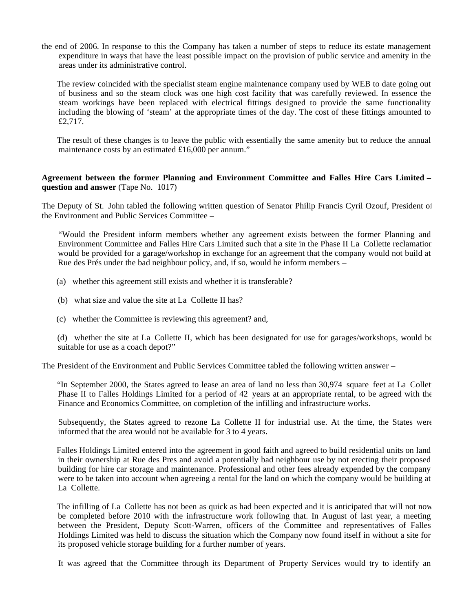the end of 2006. In response to this the Company has taken a number of steps to reduce its estate management expenditure in ways that have the least possible impact on the provision of public service and amenity in the areas under its administrative control.

 The review coincided with the specialist steam engine maintenance company used by WEB to date going out of business and so the steam clock was one high cost facility that was carefully reviewed. In essence the steam workings have been replaced with electrical fittings designed to provide the same functionality including the blowing of 'steam' at the appropriate times of the day. The cost of these fittings amounted to £2,717.

 The result of these changes is to leave the public with essentially the same amenity but to reduce the annual maintenance costs by an estimated £16,000 per annum."

## **Agreement between the former Planning and Environment Committee and Falles Hire Cars Limited – question and answer** (Tape No. 1017)

The Deputy of St. John tabled the following written question of Senator Philip Francis Cyril Ozouf, President of the Environment and Public Services Committee –

 "Would the President inform members whether any agreement exists between the former Planning and Environment Committee and Falles Hire Cars Limited such that a site in the Phase II La Collette reclamation would be provided for a garage/workshop in exchange for an agreement that the company would not build at Rue des Prés under the bad neighbour policy, and, if so, would he inform members –

- (a) whether this agreement still exists and whether it is transferable?
- (b) what size and value the site at La Collette II has?
- (c) whether the Committee is reviewing this agreement? and,

 (d) whether the site at La Collette II, which has been designated for use for garages/workshops, would be suitable for use as a coach depot?"

The President of the Environment and Public Services Committee tabled the following written answer –

"In September 2000, the States agreed to lease an area of land no less than 30,974 square feet at La Collet Phase II to Falles Holdings Limited for a period of 42 years at an appropriate rental, to be agreed with the Finance and Economics Committee, on completion of the infilling and infrastructure works.

 Subsequently, the States agreed to rezone La Collette II for industrial use. At the time, the States were informed that the area would not be available for 3 to 4 years.

 Falles Holdings Limited entered into the agreement in good faith and agreed to build residential units on land in their ownership at Rue des Pres and avoid a potentially bad neighbour use by not erecting their proposed building for hire car storage and maintenance. Professional and other fees already expended by the company were to be taken into account when agreeing a rental for the land on which the company would be building at La Collette.

 The infilling of La Collette has not been as quick as had been expected and it is anticipated that will not now be completed before 2010 with the infrastructure work following that. In August of last year, a meeting between the President, Deputy Scott-Warren, officers of the Committee and representatives of Falles Holdings Limited was held to discuss the situation which the Company now found itself in without a site for its proposed vehicle storage building for a further number of years.

It was agreed that the Committee through its Department of Property Services would try to identify an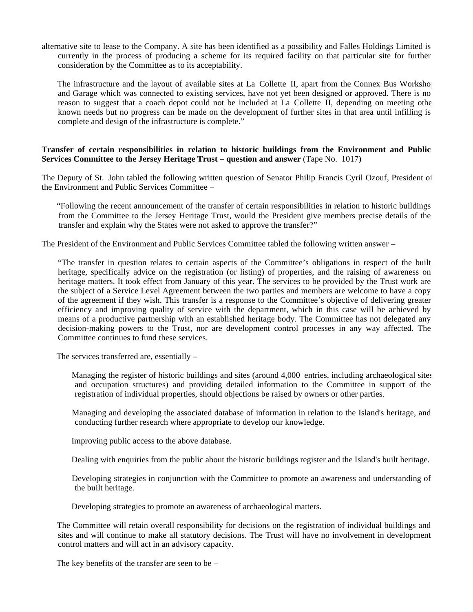alternative site to lease to the Company. A site has been identified as a possibility and Falles Holdings Limited is currently in the process of producing a scheme for its required facility on that particular site for further consideration by the Committee as to its acceptability.

 The infrastructure and the layout of available sites at La Collette II, apart from the Connex Bus Workshop and Garage which was connected to existing services, have not yet been designed or approved. There is no reason to suggest that a coach depot could not be included at La Collette II, depending on meeting other known needs but no progress can be made on the development of further sites in that area until infilling is complete and design of the infrastructure is complete."

## **Transfer of certain responsibilities in relation to historic buildings from the Environment and Public Services Committee to the Jersey Heritage Trust – question and answer** (Tape No. 1017)

The Deputy of St. John tabled the following written question of Senator Philip Francis Cyril Ozouf, President of the Environment and Public Services Committee –

 "Following the recent announcement of the transfer of certain responsibilities in relation to historic buildings from the Committee to the Jersey Heritage Trust, would the President give members precise details of the transfer and explain why the States were not asked to approve the transfer?"

The President of the Environment and Public Services Committee tabled the following written answer –

 "The transfer in question relates to certain aspects of the Committee's obligations in respect of the built heritage, specifically advice on the registration (or listing) of properties, and the raising of awareness on heritage matters. It took effect from January of this year. The services to be provided by the Trust work are the subject of a Service Level Agreement between the two parties and members are welcome to have a copy of the agreement if they wish. This transfer is a response to the Committee's objective of delivering greater efficiency and improving quality of service with the department, which in this case will be achieved by means of a productive partnership with an established heritage body. The Committee has not delegated any decision-making powers to the Trust, nor are development control processes in any way affected. The Committee continues to fund these services.

The services transferred are, essentially –

 Managing the register of historic buildings and sites (around 4,000 entries, including archaeological sites and occupation structures) and providing detailed information to the Committee in support of the registration of individual properties, should objections be raised by owners or other parties.

 Managing and developing the associated database of information in relation to the Island's heritage, and conducting further research where appropriate to develop our knowledge.

Improving public access to the above database.

Dealing with enquiries from the public about the historic buildings register and the Island's built heritage.

 Developing strategies in conjunction with the Committee to promote an awareness and understanding of the built heritage.

Developing strategies to promote an awareness of archaeological matters.

 The Committee will retain overall responsibility for decisions on the registration of individual buildings and sites and will continue to make all statutory decisions. The Trust will have no involvement in development control matters and will act in an advisory capacity.

The key benefits of the transfer are seen to be –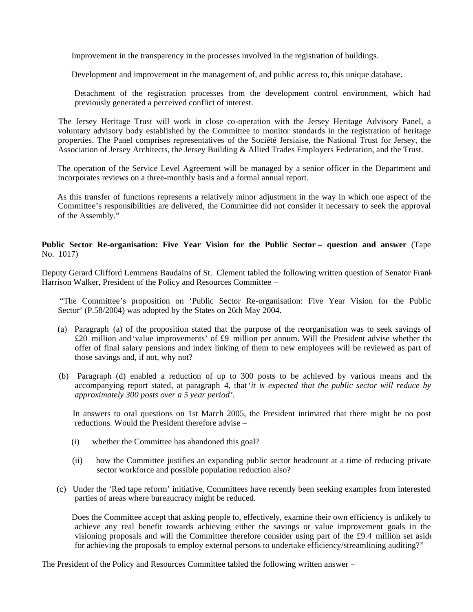Improvement in the transparency in the processes involved in the registration of buildings.

Development and improvement in the management of, and public access to, this unique database.

 Detachment of the registration processes from the development control environment, which had previously generated a perceived conflict of interest.

 The Jersey Heritage Trust will work in close co-operation with the Jersey Heritage Advisory Panel, a voluntary advisory body established by the Committee to monitor standards in the registration of heritage properties. The Panel comprises representatives of the Société Jersiaise, the National Trust for Jersey, the Association of Jersey Architects, the Jersey Building & Allied Trades Employers Federation, and the Trust.

 The operation of the Service Level Agreement will be managed by a senior officer in the Department and incorporates reviews on a three-monthly basis and a formal annual report.

 As this transfer of functions represents a relatively minor adjustment in the way in which one aspect of the Committee's responsibilities are delivered, the Committee did not consider it necessary to seek the approval of the Assembly."

## **Public Sector Re-organisation: Five Year Vision for the Public Sector – question and answer (Tape)** No. 1017)

Deputy Gerard Clifford Lemmens Baudains of St. Clement tabled the following written question of Senator Frank Harrison Walker, President of the Policy and Resources Committee –

 "The Committee's proposition on 'Public Sector Re-organisation: Five Year Vision for the Public Sector' (P.58/2004) was adopted by the States on 26th May 2004.

- (a) Paragraph (a) of the proposition stated that the purpose of the re-organisation was to seek savings of  $£20$  million and 'value improvements' of £9 million per annum. Will the President advise whether the offer of final salary pensions and index linking of them to new employees will be reviewed as part of those savings and, if not, why not?
- (b) Paragraph (d) enabled a reduction of up to 300 posts to be achieved by various means and the accompanying report stated, at paragraph 4, that'*it is expected that the public sector will reduce by approximately 300 posts over a 5 year period'*.

 In answers to oral questions on 1st March 2005, the President intimated that there might be no post reductions. Would the President therefore advise –

- (i) whether the Committee has abandoned this goal?
- (ii) how the Committee justifies an expanding public sector headcount at a time of reducing private sector workforce and possible population reduction also?
- (c) Under the 'Red tape reform' initiative, Committees have recently been seeking examples from interested parties of areas where bureaucracy might be reduced.

 Does the Committee accept that asking people to, effectively, examine their own efficiency is unlikely to achieve any real benefit towards achieving either the savings or value improvement goals in the visioning proposals and will the Committee therefore consider using part of the £9.4 million set aside for achieving the proposals to employ external persons to undertake efficiency/streamlining auditing?"

The President of the Policy and Resources Committee tabled the following written answer –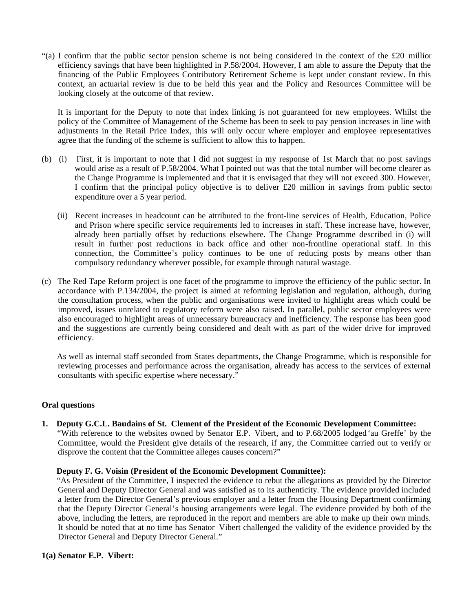"(a) I confirm that the public sector pension scheme is not being considered in the context of the £20 million efficiency savings that have been highlighted in P.58/2004. However, I am able to assure the Deputy that the financing of the Public Employees Contributory Retirement Scheme is kept under constant review. In this context, an actuarial review is due to be held this year and the Policy and Resources Committee will be looking closely at the outcome of that review.

 It is important for the Deputy to note that index linking is not guaranteed for new employees. Whilst the policy of the Committee of Management of the Scheme has been to seek to pay pension increases in line with adjustments in the Retail Price Index, this will only occur where employer and employee representatives agree that the funding of the scheme is sufficient to allow this to happen.

- (b) (i) First, it is important to note that I did not suggest in my response of 1st March that no post savings would arise as a result of P.58/2004. What I pointed out was that the total number will become clearer as the Change Programme is implemented and that it is envisaged that they will not exceed 300. However, I confirm that the principal policy objective is to deliver  $£20$  million in savings from public sector expenditure over a 5 year period.
	- (ii) Recent increases in headcount can be attributed to the front-line services of Health, Education, Police and Prison where specific service requirements led to increases in staff. These increase have, however, already been partially offset by reductions elsewhere. The Change Programme described in (i) will result in further post reductions in back office and other non-frontline operational staff. In this connection, the Committee's policy continues to be one of reducing posts by means other than compulsory redundancy wherever possible, for example through natural wastage.
- (c) The Red Tape Reform project is one facet of the programme to improve the efficiency of the public sector. In accordance with P.134/2004, the project is aimed at reforming legislation and regulation, although, during the consultation process, when the public and organisations were invited to highlight areas which could be improved, issues unrelated to regulatory reform were also raised. In parallel, public sector employees were also encouraged to highlight areas of unnecessary bureaucracy and inefficiency. The response has been good and the suggestions are currently being considered and dealt with as part of the wider drive for improved efficiency.

 As well as internal staff seconded from States departments, the Change Programme, which is responsible for reviewing processes and performance across the organisation, already has access to the services of external consultants with specific expertise where necessary."

## **Oral questions**

**1. Deputy G.C.L. Baudains of St. Clement of the President of the Economic Development Committee:** "With reference to the websites owned by Senator E.P. Vibert, and to P.68/2005 lodged 'au Greffe' by the

# Committee, would the President give details of the research, if any, the Committee carried out to verify or disprove the content that the Committee alleges causes concern?"

## **Deputy F. G. Voisin (President of the Economic Development Committee):**

 "As President of the Committee, I inspected the evidence to rebut the allegations as provided by the Director General and Deputy Director General and was satisfied as to its authenticity. The evidence provided included a letter from the Director General's previous employer and a letter from the Housing Department confirming that the Deputy Director General's housing arrangements were legal. The evidence provided by both of the above, including the letters, are reproduced in the report and members are able to make up their own minds. It should be noted that at no time has Senator Vibert challenged the validity of the evidence provided by the Director General and Deputy Director General."

## **1(a) Senator E.P. Vibert:**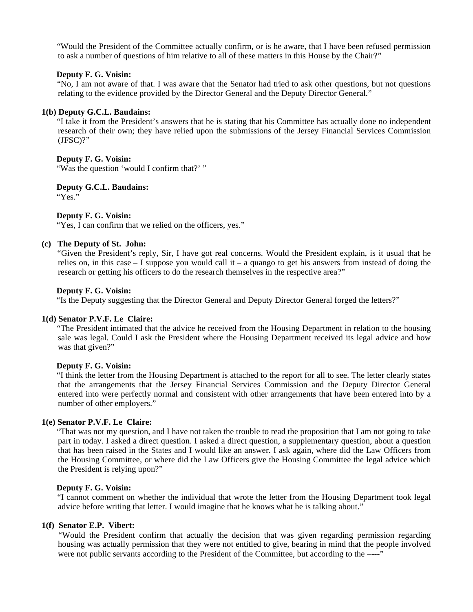"Would the President of the Committee actually confirm, or is he aware, that I have been refused permission to ask a number of questions of him relative to all of these matters in this House by the Chair?"

## **Deputy F. G. Voisin:**

 "No, I am not aware of that. I was aware that the Senator had tried to ask other questions, but not questions relating to the evidence provided by the Director General and the Deputy Director General."

#### **1(b) Deputy G.C.L. Baudains:**

 "I take it from the President's answers that he is stating that his Committee has actually done no independent research of their own; they have relied upon the submissions of the Jersey Financial Services Commission (JFSC)?"

## **Deputy F. G. Voisin:**

"Was the question 'would I confirm that?' "

 **Deputy G.C.L. Baudains:** "Yes."

#### **Deputy F. G. Voisin:**

"Yes, I can confirm that we relied on the officers, yes."

### **(c) The Deputy of St. John:**

 "Given the President's reply, Sir, I have got real concerns. Would the President explain, is it usual that he relies on, in this case – I suppose you would call it – a quango to get his answers from instead of doing the research or getting his officers to do the research themselves in the respective area?"

#### **Deputy F. G. Voisin:**

"Is the Deputy suggesting that the Director General and Deputy Director General forged the letters?"

## **1(d) Senator P.V.F. Le Claire:**

 "The President intimated that the advice he received from the Housing Department in relation to the housing sale was legal. Could I ask the President where the Housing Department received its legal advice and how was that given?"

## **Deputy F. G. Voisin:**

 "I think the letter from the Housing Department is attached to the report for all to see. The letter clearly states that the arrangements that the Jersey Financial Services Commission and the Deputy Director General entered into were perfectly normal and consistent with other arrangements that have been entered into by a number of other employers."

#### **1(e) Senator P.V.F. Le Claire:**

 "That was not my question, and I have not taken the trouble to read the proposition that I am not going to take part in today. I asked a direct question. I asked a direct question, a supplementary question, about a question that has been raised in the States and I would like an answer. I ask again, where did the Law Officers from the Housing Committee, or where did the Law Officers give the Housing Committee the legal advice which the President is relying upon?"

#### **Deputy F. G. Voisin:**

 "I cannot comment on whether the individual that wrote the letter from the Housing Department took legal advice before writing that letter. I would imagine that he knows what he is talking about."

## **1(f) Senator E.P. Vibert:**

 "Would the President confirm that actually the decision that was given regarding permission regarding housing was actually permission that they were not entitled to give, bearing in mind that the people involved were not public servants according to the President of the Committee, but according to the  $-\frac{1}{2}$ .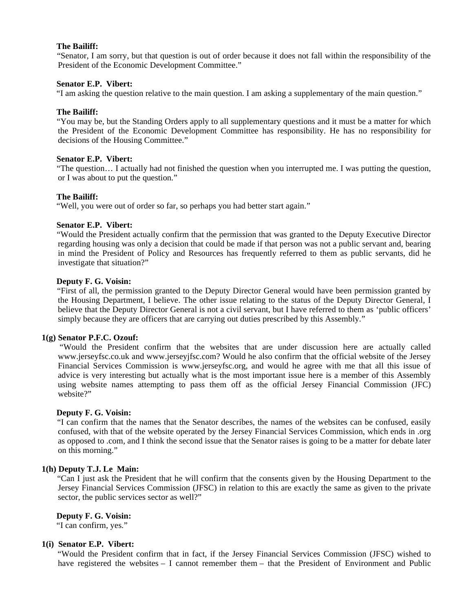## **The Bailiff:**

 "Senator, I am sorry, but that question is out of order because it does not fall within the responsibility of the President of the Economic Development Committee."

## **Senator E.P. Vibert:**

"I am asking the question relative to the main question. I am asking a supplementary of the main question."

## **The Bailiff:**

 "You may be, but the Standing Orders apply to all supplementary questions and it must be a matter for which the President of the Economic Development Committee has responsibility. He has no responsibility for decisions of the Housing Committee."

## **Senator E.P. Vibert:**

 "The question… I actually had not finished the question when you interrupted me. I was putting the question, or I was about to put the question."

## **The Bailiff:**

"Well, you were out of order so far, so perhaps you had better start again."

## **Senator E.P. Vibert:**

 "Would the President actually confirm that the permission that was granted to the Deputy Executive Director regarding housing was only a decision that could be made if that person was not a public servant and, bearing in mind the President of Policy and Resources has frequently referred to them as public servants, did he investigate that situation?"

## **Deputy F. G. Voisin:**

 "First of all, the permission granted to the Deputy Director General would have been permission granted by the Housing Department, I believe. The other issue relating to the status of the Deputy Director General, I believe that the Deputy Director General is not a civil servant, but I have referred to them as 'public officers' simply because they are officers that are carrying out duties prescribed by this Assembly."

## **1(g) Senator P.F.C. Ozouf:**

 "Would the President confirm that the websites that are under discussion here are actually called <www.jerseyfsc.co.uk>and <www.jerseyjfsc.com>? Would he also confirm that the official website of the Jersey Financial Services Commission is <www.jerseyfsc.org>, and would he agree with me that all this issue of advice is very interesting but actually what is the most important issue here is a member of this Assembly using website names attempting to pass them off as the official Jersey Financial Commission (JFC) website?"

## **Deputy F. G. Voisin:**

 "I can confirm that the names that the Senator describes, the names of the websites can be confused, easily confused, with that of the website operated by the Jersey Financial Services Commission, which ends in .org as opposed to .com, and I think the second issue that the Senator raises is going to be a matter for debate later on this morning."

## **1(h) Deputy T.J. Le Main:**

 "Can I just ask the President that he will confirm that the consents given by the Housing Department to the Jersey Financial Services Commission (JFSC) in relation to this are exactly the same as given to the private sector, the public services sector as well?"

## **Deputy F. G. Voisin:**

"I can confirm, yes."

## **1(i) Senator E.P. Vibert:**

 "Would the President confirm that in fact, if the Jersey Financial Services Commission (JFSC) wished to have registered the websites – I cannot remember them – that the President of Environment and Public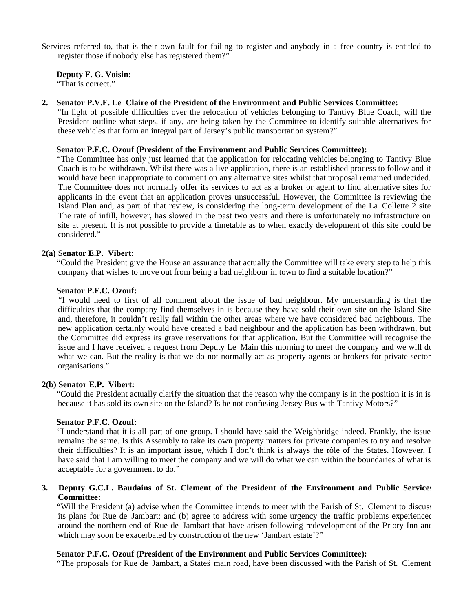Services referred to, that is their own fault for failing to register and anybody in a free country is entitled to register those if nobody else has registered them?"

 **Deputy F. G. Voisin:** "That is correct."

### **2. Senator P.V.F. Le Claire of the President of the Environment and Public Services Committee:**

 "In light of possible difficulties over the relocation of vehicles belonging to Tantivy Blue Coach, will the President outline what steps, if any, are being taken by the Committee to identify suitable alternatives for these vehicles that form an integral part of Jersey's public transportation system?"

### **Senator P.F.C. Ozouf (President of the Environment and Public Services Committee):**

 "The Committee has only just learned that the application for relocating vehicles belonging to Tantivy Blue Coach is to be withdrawn. Whilst there was a live application, there is an established process to follow and it would have been inappropriate to comment on any alternative sites whilst that proposal remained undecided. The Committee does not normally offer its services to act as a broker or agent to find alternative sites for applicants in the event that an application proves unsuccessful. However, the Committee is reviewing the Island Plan and, as part of that review, is considering the long-term development of the La Collette 2 site. The rate of infill, however, has slowed in the past two years and there is unfortunately no infrastructure on site at present. It is not possible to provide a timetable as to when exactly development of this site could be considered."

#### **2(a)** S**enator E.P. Vibert:**

 "Could the President give the House an assurance that actually the Committee will take every step to help this company that wishes to move out from being a bad neighbour in town to find a suitable location?"

#### **Senator P.F.C. Ozouf:**

 "I would need to first of all comment about the issue of bad neighbour. My understanding is that the difficulties that the company find themselves in is because they have sold their own site on the Island Site and, therefore, it couldn't really fall within the other areas where we have considered bad neighbours. The new application certainly would have created a bad neighbour and the application has been withdrawn, but the Committee did express its grave reservations for that application. But the Committee will recognise the issue and I have received a request from Deputy Le Main this morning to meet the company and we will do what we can. But the reality is that we do not normally act as property agents or brokers for private sector organisations."

#### **2(b) Senator E.P. Vibert:**

 "Could the President actually clarify the situation that the reason why the company is in the position it is in is because it has sold its own site on the Island? Is he not confusing Jersey Bus with Tantivy Motors?"

#### **Senator P.F.C. Ozouf:**

 "I understand that it is all part of one group. I should have said the Weighbridge indeed. Frankly, the issue remains the same. Is this Assembly to take its own property matters for private companies to try and resolve their difficulties? It is an important issue, which I don't think is always the rôle of the States. However, I have said that I am willing to meet the company and we will do what we can within the boundaries of what is acceptable for a government to do."

## **3. Deputy G.C.L. Baudains of St. Clement of the President of the Environment and Public Services Committee:**

 "Will the President (a) advise when the Committee intends to meet with the Parish of St. Clement to discuss its plans for Rue de Jambart; and (b) agree to address with some urgency the traffic problems experienced around the northern end of Rue de Jambart that have arisen following redevelopment of the Priory Inn and which may soon be exacerbated by construction of the new 'Jambart estate'?"

#### **Senator P.F.C. Ozouf (President of the Environment and Public Services Committee):**

"The proposals for Rue de Jambart, a States' main road, have been discussed with the Parish of St. Clement.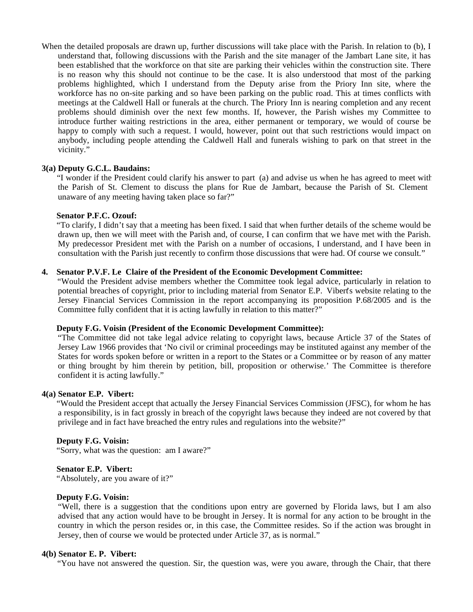When the detailed proposals are drawn up, further discussions will take place with the Parish. In relation to (b), I understand that, following discussions with the Parish and the site manager of the Jambart Lane site, it has been established that the workforce on that site are parking their vehicles within the construction site. There is no reason why this should not continue to be the case. It is also understood that most of the parking problems highlighted, which I understand from the Deputy arise from the Priory Inn site, where the workforce has no on-site parking and so have been parking on the public road. This at times conflicts with meetings at the Caldwell Hall or funerals at the church. The Priory Inn is nearing completion and any recent problems should diminish over the next few months. If, however, the Parish wishes my Committee to introduce further waiting restrictions in the area, either permanent or temporary, we would of course be happy to comply with such a request. I would, however, point out that such restrictions would impact on anybody, including people attending the Caldwell Hall and funerals wishing to park on that street in the vicinity."

## **3(a) Deputy G.C.L. Baudains:**

 "I wonder if the President could clarify his answer to part (a) and advise us when he has agreed to meet with the Parish of St. Clement to discuss the plans for Rue de Jambart, because the Parish of St. Clement unaware of any meeting having taken place so far?"

#### **Senator P.F.C. Ozouf:**

"To clarify, I didn't say that a meeting has been fixed. I said that when further details of the scheme would be drawn up, then we will meet with the Parish and, of course, I can confirm that we have met with the Parish. My predecessor President met with the Parish on a number of occasions, I understand, and I have been in consultation with the Parish just recently to confirm those discussions that were had. Of course we consult."

## **4. Senator P.V.F. Le Claire of the President of the Economic Development Committee:**

 "Would the President advise members whether the Committee took legal advice, particularly in relation to potential breaches of copyright, prior to including material from Senator E.P. Vibert's website relating to the Jersey Financial Services Commission in the report accompanying its proposition P.68/2005 and is the Committee fully confident that it is acting lawfully in relation to this matter?"

## **Deputy F.G. Voisin (President of the Economic Development Committee):**

 "The Committee did not take legal advice relating to copyright laws, because Article 37 of the States of Jersey Law 1966 provides that 'No civil or criminal proceedings may be instituted against any member of the States for words spoken before or written in a report to the States or a Committee or by reason of any matter or thing brought by him therein by petition, bill, proposition or otherwise.' The Committee is therefore confident it is acting lawfully."

## **4(a) Senator E.P. Vibert:**

 "Would the President accept that actually the Jersey Financial Services Commission (JFSC), for whom he has a responsibility, is in fact grossly in breach of the copyright laws because they indeed are not covered by that privilege and in fact have breached the entry rules and regulations into the website?"

#### **Deputy F.G. Voisin:**

"Sorry, what was the question: am I aware?"

#### **Senator E.P. Vibert:**

"Absolutely, are you aware of it?"

## **Deputy F.G. Voisin:**

 "Well, there is a suggestion that the conditions upon entry are governed by Florida laws, but I am also advised that any action would have to be brought in Jersey. It is normal for any action to be brought in the country in which the person resides or, in this case, the Committee resides. So if the action was brought in Jersey, then of course we would be protected under Article 37, as is normal."

## **4(b) Senator E. P. Vibert:**

"You have not answered the question. Sir, the question was, were you aware, through the Chair, that there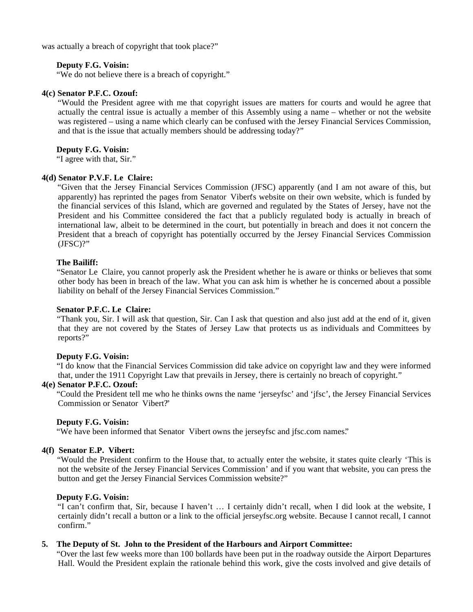was actually a breach of copyright that took place?"

#### **Deputy F.G. Voisin:**

"We do not believe there is a breach of copyright."

## **4(c) Senator P.F.C. Ozouf:**

 "Would the President agree with me that copyright issues are matters for courts and would he agree that actually the central issue is actually a member of this Assembly using a name – whether or not the website was registered – using a name which clearly can be confused with the Jersey Financial Services Commission, and that is the issue that actually members should be addressing today?"

#### **Deputy F.G. Voisin:**

"I agree with that, Sir."

## **4(d) Senator P.V.F. Le Claire:**

 "Given that the Jersey Financial Services Commission (JFSC) apparently (and I am not aware of this, but apparently) has reprinted the pages from Senator Vibert's website on their own website, which is funded by the financial services of this Island, which are governed and regulated by the States of Jersey, have not the President and his Committee considered the fact that a publicly regulated body is actually in breach of international law, albeit to be determined in the court, but potentially in breach and does it not concern the President that a breach of copyright has potentially occurred by the Jersey Financial Services Commission (JFSC)?"

#### **The Bailiff:**

 "Senator Le Claire, you cannot properly ask the President whether he is aware or thinks or believes that some other body has been in breach of the law. What you can ask him is whether he is concerned about a possible liability on behalf of the Jersey Financial Services Commission."

#### **Senator P.F.C. Le Claire:**

 "Thank you, Sir. I will ask that question, Sir. Can I ask that question and also just add at the end of it, given that they are not covered by the States of Jersey Law that protects us as individuals and Committees by reports?"

## **Deputy F.G. Voisin:**

 "I do know that the Financial Services Commission did take advice on copyright law and they were informed that, under the 1911 Copyright Law that prevails in Jersey, there is certainly no breach of copyright."

## **4(e) Senator P.F.C. Ozouf:**

 "Could the President tell me who he thinks owns the name 'jerseyfsc' and 'jfsc', the Jersey Financial Services Commission or Senator Vibert?"

## **Deputy F.G. Voisin:**

"We have been informed that Senator Vibert owns the jerseyfsc and jfsc.com names."

## **4(f) Senator E.P. Vibert:**

 "Would the President confirm to the House that, to actually enter the website, it states quite clearly 'This is not the website of the Jersey Financial Services Commission' and if you want that website, you can press the button and get the Jersey Financial Services Commission website?"

## **Deputy F.G. Voisin:**

 "I can't confirm that, Sir, because I haven't … I certainly didn't recall, when I did look at the website, I certainly didn't recall a button or a link to the official jerseyfsc.org website. Because I cannot recall, I cannot confirm."

## **5. The Deputy of St. John to the President of the Harbours and Airport Committee:**

 "Over the last few weeks more than 100 bollards have been put in the roadway outside the Airport Departures Hall. Would the President explain the rationale behind this work, give the costs involved and give details of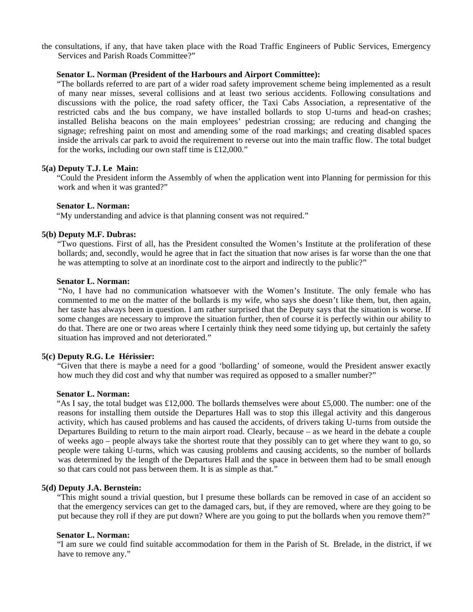the consultations, if any, that have taken place with the Road Traffic Engineers of Public Services, Emergency Services and Parish Roads Committee?"

## **Senator L. Norman (President of the Harbours and Airport Committee):**

 "The bollards referred to are part of a wider road safety improvement scheme being implemented as a result of many near misses, several collisions and at least two serious accidents. Following consultations and discussions with the police, the road safety officer, the Taxi Cabs Association, a representative of the restricted cabs and the bus company, we have installed bollards to stop U-turns and head-on crashes; installed Belisha beacons on the main employees' pedestrian crossing; are reducing and changing the signage; refreshing paint on most and amending some of the road markings; and creating disabled spaces inside the arrivals car park to avoid the requirement to reverse out into the main traffic flow. The total budget for the works, including our own staff time is £12,000."

#### **5(a) Deputy T.J. Le Main:**

 "Could the President inform the Assembly of when the application went into Planning for permission for this work and when it was granted?"

#### **Senator L. Norman:**

"My understanding and advice is that planning consent was not required."

#### **5(b) Deputy M.F. Dubras:**

 "Two questions. First of all, has the President consulted the Women's Institute at the proliferation of these bollards; and, secondly, would he agree that in fact the situation that now arises is far worse than the one that he was attempting to solve at an inordinate cost to the airport and indirectly to the public?"

## **Senator L. Norman:**

 "No, I have had no communication whatsoever with the Women's Institute. The only female who has commented to me on the matter of the bollards is my wife, who says she doesn't like them, but, then again, her taste has always been in question. I am rather surprised that the Deputy says that the situation is worse. If some changes are necessary to improve the situation further, then of course it is perfectly within our ability to do that. There are one or two areas where I certainly think they need some tidying up, but certainly the safety situation has improved and not deteriorated."

## **5(c) Deputy R.G. Le Hérissier:**

 "Given that there is maybe a need for a good 'bollarding' of someone, would the President answer exactly how much they did cost and why that number was required as opposed to a smaller number?"

#### **Senator L. Norman:**

"As I say, the total budget was £12,000. The bollards themselves were about £5,000. The number: one of the reasons for installing them outside the Departures Hall was to stop this illegal activity and this dangerous activity, which has caused problems and has caused the accidents, of drivers taking U-turns from outside the Departures Building to return to the main airport road. Clearly, because – as we heard in the debate a couple of weeks ago – people always take the shortest route that they possibly can to get where they want to go, so people were taking U-turns, which was causing problems and causing accidents, so the number of bollards was determined by the length of the Departures Hall and the space in between them had to be small enough so that cars could not pass between them. It is as simple as that."

## **5(d) Deputy J.A. Bernstein:**

 "This might sound a trivial question, but I presume these bollards can be removed in case of an accident so that the emergency services can get to the damaged cars, but, if they are removed, where are they going to be put because they roll if they are put down? Where are you going to put the bollards when you remove them?"

## **Senator L. Norman:**

 "I am sure we could find suitable accommodation for them in the Parish of St. Brelade, in the district, if we have to remove any."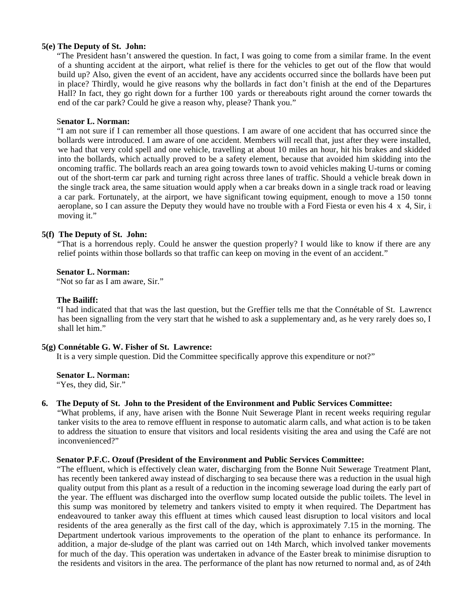## **5(e) The Deputy of St. John:**

 "The President hasn't answered the question. In fact, I was going to come from a similar frame. In the event of a shunting accident at the airport, what relief is there for the vehicles to get out of the flow that would build up? Also, given the event of an accident, have any accidents occurred since the bollards have been put in place? Thirdly, would he give reasons why the bollards in fact don't finish at the end of the Departures Hall? In fact, they go right down for a further 100 yards or thereabouts right around the corner towards the end of the car park? Could he give a reason why, please? Thank you."

## S**enator L. Norman:**

 "I am not sure if I can remember all those questions. I am aware of one accident that has occurred since the bollards were introduced. I am aware of one accident. Members will recall that, just after they were installed, we had that very cold spell and one vehicle, travelling at about 10 miles an hour, hit his brakes and skidded into the bollards, which actually proved to be a safety element, because that avoided him skidding into the oncoming traffic. The bollards reach an area going towards town to avoid vehicles making U-turns or coming out of the short-term car park and turning right across three lanes of traffic. Should a vehicle break down in the single track area, the same situation would apply when a car breaks down in a single track road or leaving a car park. Fortunately, at the airport, we have significant towing equipment, enough to move a 150 tonne aeroplane, so I can assure the Deputy they would have no trouble with a Ford Fiesta or even his  $4 \times 4$ , Sir, i moving it."

## **5(f) The Deputy of St. John:**

 "That is a horrendous reply. Could he answer the question properly? I would like to know if there are any relief points within those bollards so that traffic can keep on moving in the event of an accident."

## **Senator L. Norman:**

"Not so far as I am aware, Sir."

## **The Bailiff:**

 "I had indicated that that was the last question, but the Greffier tells me that the Connétable of St. Lawrence has been signalling from the very start that he wished to ask a supplementary and, as he very rarely does so, I shall let him."

## **5(g) Connétable G. W. Fisher of St. Lawrence:**

It is a very simple question. Did the Committee specifically approve this expenditure or not?"

 **Senator L. Norman:**

"Yes, they did, Sir."

## **6. The Deputy of St. John to the President of the Environment and Public Services Committee:**

 "What problems, if any, have arisen with the Bonne Nuit Sewerage Plant in recent weeks requiring regular tanker visits to the area to remove effluent in response to automatic alarm calls, and what action is to be taken to address the situation to ensure that visitors and local residents visiting the area and using the Café are not inconvenienced?"

## **Senator P.F.C. Ozouf (President of the Environment and Public Services Committee:**

 "The effluent, which is effectively clean water, discharging from the Bonne Nuit Sewerage Treatment Plant, has recently been tankered away instead of discharging to sea because there was a reduction in the usual high quality output from this plant as a result of a reduction in the incoming sewerage load during the early part of the year. The effluent was discharged into the overflow sump located outside the public toilets. The level in this sump was monitored by telemetry and tankers visited to empty it when required. The Department has endeavoured to tanker away this effluent at times which caused least disruption to local visitors and local residents of the area generally as the first call of the day, which is approximately 7.15 in the morning. The Department undertook various improvements to the operation of the plant to enhance its performance. In addition, a major de-sludge of the plant was carried out on 14th March, which involved tanker movements for much of the day. This operation was undertaken in advance of the Easter break to minimise disruption to the residents and visitors in the area. The performance of the plant has now returned to normal and, as of 24th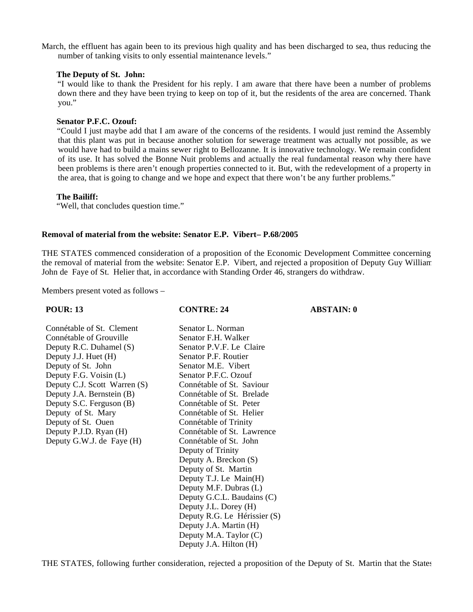March, the effluent has again been to its previous high quality and has been discharged to sea, thus reducing the number of tanking visits to only essential maintenance levels."

#### **The Deputy of St. John:**

"I would like to thank the President for his reply. I am aware that there have been a number of problems down there and they have been trying to keep on top of it, but the residents of the area are concerned. Thank you."

#### **Senator P.F.C. Ozouf:**

"Could I just maybe add that I am aware of the concerns of the residents. I would just remind the Assembly that this plant was put in because another solution for sewerage treatment was actually not possible, as we would have had to build a mains sewer right to Bellozanne. It is innovative technology. We remain confident of its use. It has solved the Bonne Nuit problems and actually the real fundamental reason why there have been problems is there aren't enough properties connected to it. But, with the redevelopment of a property in the area, that is going to change and we hope and expect that there won't be any further problems."

#### **The Bailiff:**

"Well, that concludes question time."

### **Removal of material from the website: Senator E.P. Vibert–P.68/2005**

THE STATES commenced consideration of a proposition of the Economic Development Committee concerning the removal of material from the website: Senator E.P. Vibert, and rejected a proposition of Deputy Guy William John de Faye of St. Helier that, in accordance with Standing Order 46, strangers do withdraw.

Members present voted as follows –

| <b>POUR: 13</b>              | <b>CONTRE: 24</b>            | <b>ABSTAIN: 0</b> |
|------------------------------|------------------------------|-------------------|
| Connétable of St. Clement    | Senator L. Norman            |                   |
| Connétable of Grouville      | Senator F.H. Walker          |                   |
| Deputy R.C. Duhamel $(S)$    | Senator P.V.F. Le Claire     |                   |
| Deputy J.J. Huet (H)         | Senator P.F. Routier         |                   |
| Deputy of St. John           | Senator M.E. Vibert          |                   |
| Deputy F.G. Voisin (L)       | Senator P.F.C. Ozouf         |                   |
| Deputy C.J. Scott Warren (S) | Connétable of St. Saviour    |                   |
| Deputy J.A. Bernstein (B)    | Connétable of St. Brelade    |                   |
| Deputy S.C. Ferguson (B)     | Connétable of St. Peter      |                   |
| Deputy of St. Mary           | Connétable of St. Helier     |                   |
| Deputy of St. Ouen           | Connétable of Trinity        |                   |
| Deputy P.J.D. Ryan (H)       | Connétable of St. Lawrence   |                   |
| Deputy G.W.J. de Faye (H)    | Connétable of St. John       |                   |
|                              | Deputy of Trinity            |                   |
|                              | Deputy A. Breckon (S)        |                   |
|                              | Deputy of St. Martin         |                   |
|                              | Deputy T.J. Le Main(H)       |                   |
|                              | Deputy M.F. Dubras (L)       |                   |
|                              | Deputy G.C.L. Baudains (C)   |                   |
|                              | Deputy J.L. Dorey (H)        |                   |
|                              | Deputy R.G. Le Hérissier (S) |                   |
|                              | Deputy J.A. Martin (H)       |                   |
|                              | Deputy M.A. Taylor $(C)$     |                   |
|                              | Deputy J.A. Hilton (H)       |                   |

THE STATES, following further consideration, rejected a proposition of the Deputy of St. Martin that the States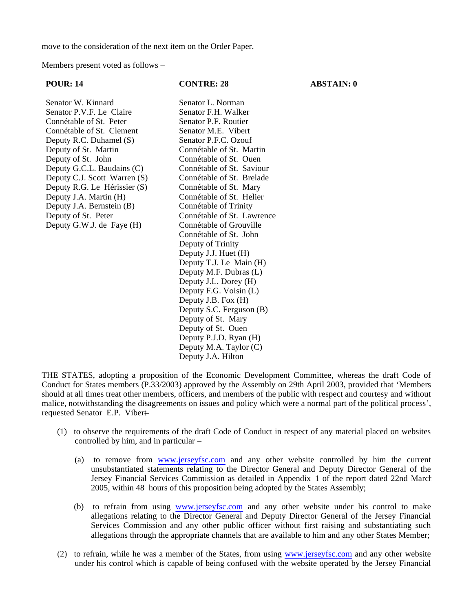move to the consideration of the next item on the Order Paper.

Members present voted as follows –

## **POUR: 14 CONTRE: 28 ABSTAIN: 0**

Senator W. Kinnard<br>
Senator P.V.F. Le Claire<br>
Senator F.H. Walker Senator P.V.F. Le Claire Connétable of St. Peter Senator P.F. Routier Connétable of St. Clement Senator M.E. Vibert Deputy R.C. Duhamel (S) Senator P.F.C. Ozouf Deputy of St. Martin Connétable of St. Martin Deputy of St. John Connétable of St. Ouen Deputy G.C.L. Baudains (C) Connétable of St. Saviour Deputy C.J. Scott Warren (S) Connétable of St. Brelade<br>Deputy R.G. Le Hérissier (S) Connétable of St. Mary Deputy R.G. Le Hérissier (S) Connétable of St. Mary<br>Deputy J.A. Martin (H) Connétable of St. Helier Deputy J.A. Martin (H) Deputy J.A. Bernstein (B) Connétable of Trinity Deputy of St. Peter Connétable of St. Lawrence Deputy G.W.J. de Faye (H) Connétable of Grouville

Connétable of St. John Deputy of Trinity Deputy J.J. Huet (H) Deputy T.J. Le Main (H) Deputy M.F. Dubras (L) Deputy J.L. Dorey (H) Deputy F.G. Voisin (L) Deputy J.B. Fox (H) Deputy S.C. Ferguson (B) Deputy of St. Mary Deputy of St. Ouen Deputy P.J.D. Ryan (H) Deputy M.A. Taylor (C) Deputy J.A. Hilton

THE STATES, adopting a proposition of the Economic Development Committee, whereas the draft Code of Conduct for States members (P.33/2003) approved by the Assembly on 29th April 2003, provided that 'Members should at all times treat other members, officers, and members of the public with respect and courtesy and without malice, notwithstanding the disagreements on issues and policy which were a normal part of the political process', requested Senator E.P. Vibert-

- (1) to observe the requirements of the draft Code of Conduct in respect of any material placed on websites controlled by him, and in particular –
	- (a) to remove from <www.jerseyfsc.com> and any other website controlled by him the current unsubstantiated statements relating to the Director General and Deputy Director General of the Jersey Financial Services Commission as detailed in Appendix 1 of the report dated 22nd March 2005, within 48 hours of this proposition being adopted by the States Assembly;
	- (b) to refrain from using <www.jerseyfsc.com> and any other website under his control to make allegations relating to the Director General and Deputy Director General of the Jersey Financial Services Commission and any other public officer without first raising and substantiating such allegations through the appropriate channels that are available to him and any other States Member;
- (2) to refrain, while he was a member of the States, from using <www.jerseyfsc.com> and any other website under his control which is capable of being confused with the website operated by the Jersey Financial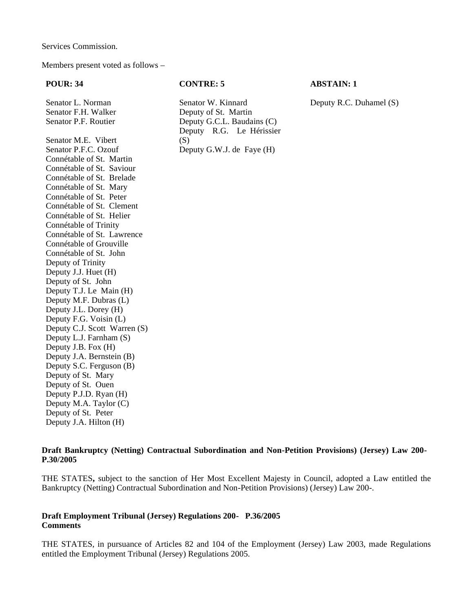Members present voted as follows –

#### **POUR: 34 CONTRE: 5 ABSTAIN: 1**

Senator L. Norman Senator W. Kinnard Deputy R.C. Duhamel (S) Senator F.H. Walker Deputy of St. Martin Deputy R.G. Le Hérissier (S) Deputy G.W.J. de Faye  $(H)$ 

Senator P.F. Routier Deputy G.C.L. Baudains (C) Senator M.E. Vibert<br>Senator P.F.C. Ozouf Connétable of St. Martin Connétable of St. Saviour Connétable of St. Brelade Connétable of St. Mary Connétable of St. Peter Connétable of St. Clement Connétable of St. Helier Connétable of Trinity Connétable of St. Lawrence Connétable of Grouville Connétable of St. John Deputy of Trinity Deputy J.J. Huet (H) Deputy of St. John Deputy T.J. Le Main (H) Deputy M.F. Dubras (L) Deputy J.L. Dorey (H) Deputy F.G. Voisin (L) Deputy C.J. Scott Warren (S) Deputy L.J. Farnham (S) Deputy J.B. Fox (H) Deputy J.A. Bernstein (B) Deputy S.C. Ferguson (B) Deputy of St. Mary Deputy of St. Ouen Deputy P.J.D. Ryan (H) Deputy M.A. Taylor (C) Deputy of St. Peter Deputy J.A. Hilton (H)

## **Draft Bankruptcy (Netting) Contractual Subordination and Non-Petition Provisions) (Jersey) Law 200- P.30/2005**

THE STATES**,** subject to the sanction of Her Most Excellent Majesty in Council, adopted a Law entitled the Bankruptcy (Netting) Contractual Subordination and Non-Petition Provisions) (Jersey) Law 200-.

## **Draft Employment Tribunal (Jersey) Regulations 200- P.36/2005 Comments**

THE STATES, in pursuance of Articles 82 and 104 of the Employment (Jersey) Law 2003, made Regulations entitled the Employment Tribunal (Jersey) Regulations 2005.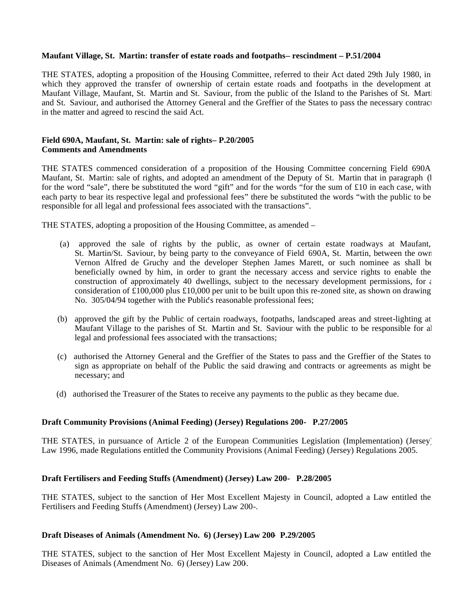## **Maufant Village, St. Martin: transfer of estate roads and footpaths – rescindment – P.51/2004**

THE STATES, adopting a proposition of the Housing Committee, referred to their Act dated 29th July 1980, in which they approved the transfer of ownership of certain estate roads and footpaths in the development at Maufant Village, Maufant, St. Martin and St. Saviour, from the public of the Island to the Parishes of St. Martin and St. Saviour, and authorised the Attorney General and the Greffier of the States to pass the necessary contract in the matter and agreed to rescind the said Act.

## **Field 690A, Maufant, St. Martin: sale of rights – P.20/2005 Comments and Amendments**

THE STATES commenced consideration of a proposition of the Housing Committee concerning Field 690A, Maufant, St. Martin: sale of rights, and adopted an amendment of the Deputy of St. Martin that in paragraph (l for the word "sale", there be substituted the word "gift" and for the words "for the sum of £10 in each case, with each party to bear its respective legal and professional fees" there be substituted the words "with the public to be responsible for all legal and professional fees associated with the transactions".

THE STATES, adopting a proposition of the Housing Committee, as amended –

- (a) approved the sale of rights by the public, as owner of certain estate roadways at Maufant, St. Martin/St. Saviour, by being party to the conveyance of Field 690A, St. Martin, between the own Vernon Alfred de Gruchy and the developer Stephen James Marett, or such nominee as shall be beneficially owned by him, in order to grant the necessary access and service rights to enable the construction of approximately 40 dwellings, subject to the necessary development permissions, for  $\epsilon$ consideration of £100,000 plus £10,000 per unit to be built upon this re-zoned site, as shown on drawing No. 305/04/94 together with the Public's reasonable professional fees;
- (b) approved the gift by the Public of certain roadways, footpaths, landscaped areas and street-lighting at Maufant Village to the parishes of St. Martin and St. Saviour with the public to be responsible for all legal and professional fees associated with the transactions;
- (c) authorised the Attorney General and the Greffier of the States to pass and the Greffier of the States to sign as appropriate on behalf of the Public the said drawing and contracts or agreements as might be necessary; and
- (d) authorised the Treasurer of the States to receive any payments to the public as they became due.

## **Draft Community Provisions (Animal Feeding) (Jersey) Regulations 200- P.27/2005**

THE STATES, in pursuance of Article 2 of the European Communities Legislation (Implementation) (Jersey) Law 1996, made Regulations entitled the Community Provisions (Animal Feeding) (Jersey) Regulations 2005.

## **Draft Fertilisers and Feeding Stuffs (Amendment) (Jersey) Law 200- P.28/2005**

THE STATES, subject to the sanction of Her Most Excellent Majesty in Council, adopted a Law entitled the Fertilisers and Feeding Stuffs (Amendment) (Jersey) Law 200-.

## **Draft Diseases of Animals (Amendment No. 6) (Jersey) Law 200- P.29/2005**

THE STATES, subject to the sanction of Her Most Excellent Majesty in Council, adopted a Law entitled the Diseases of Animals (Amendment No. 6) (Jersey) Law 200.